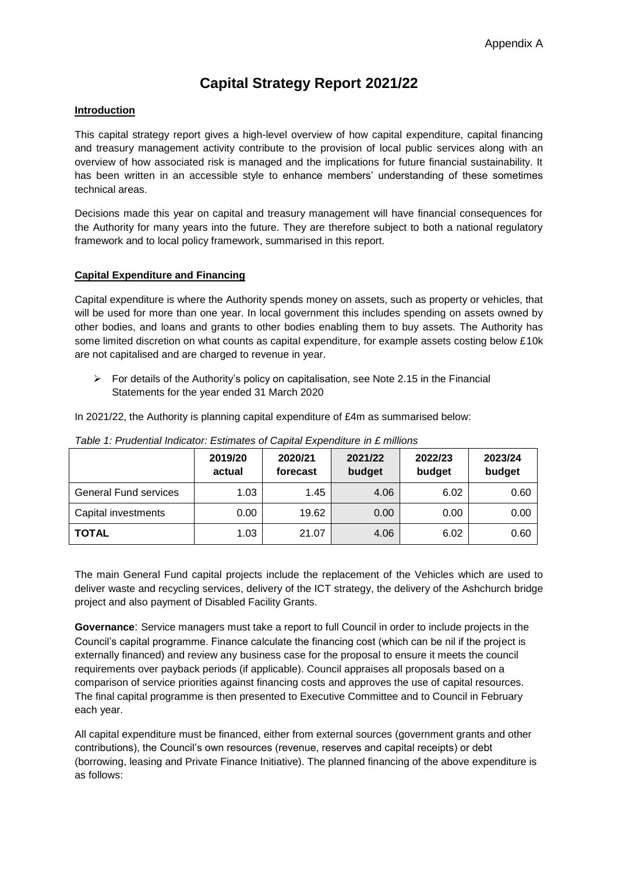# **Capital Strategy Report 2021/22**

## **Introduction**

This capital strategy report gives a high-level overview of how capital expenditure, capital financing and treasury management activity contribute to the provision of local public services along with an overview of how associated risk is managed and the implications for future financial sustainability. It has been written in an accessible style to enhance members' understanding of these sometimes technical areas.

Decisions made this year on capital and treasury management will have financial consequences for the Authority for many years into the future. They are therefore subject to both a national regulatory framework and to local policy framework, summarised in this report.

# **Capital Expenditure and Financing**

Capital expenditure is where the Authority spends money on assets, such as property or vehicles, that will be used for more than one year. In local government this includes spending on assets owned by other bodies, and loans and grants to other bodies enabling them to buy assets. The Authority has some limited discretion on what counts as capital expenditure, for example assets costing below £10k are not capitalised and are charged to revenue in year.

 $\triangleright$  For details of the Authority's policy on capitalisation, see Note [2.15](https://drive.google.com/file/d/1dQiyx03WtxVIzYpcm9MWtuovPddA316D/view) in the Financial Statements for the year ended 31 March 2020

In 2021/22, the Authority is planning capital expenditure of £4m as summarised below:

|                              | 2019/20<br>actual | 2020/21<br>forecast | 2021/22<br>budget | 2022/23<br>budget | 2023/24<br>budget |
|------------------------------|-------------------|---------------------|-------------------|-------------------|-------------------|
| <b>General Fund services</b> | 1.03              | 1.45                | 4.06              | 6.02              | 0.60              |
| Capital investments          | 0.00              | 19.62               | 0.00              | 0.00              | 0.00              |
| <b>TOTAL</b>                 | 1.03              | 21.07               | 4.06              | 6.02              | 0.60              |

*Table 1: Prudential Indicator: Estimates of Capital Expenditure in £ millions*

The main General Fund capital projects include the replacement of the Vehicles which are used to deliver waste and recycling services, delivery of the ICT strategy, the delivery of the Ashchurch bridge project and also payment of Disabled Facility Grants.

**Governance**: Service managers must take a report to full Council in order to include projects in the Council's capital programme. Finance calculate the financing cost (which can be nil if the project is externally financed) and review any business case for the proposal to ensure it meets the council requirements over payback periods (if applicable). Council appraises all proposals based on a comparison of service priorities against financing costs and approves the use of capital resources. The final capital programme is then presented to Executive Committee and to Council in February each year.

All capital expenditure must be financed, either from external sources (government grants and other contributions), the Council's own resources (revenue, reserves and capital receipts) or debt (borrowing, leasing and Private Finance Initiative). The planned financing of the above expenditure is as follows: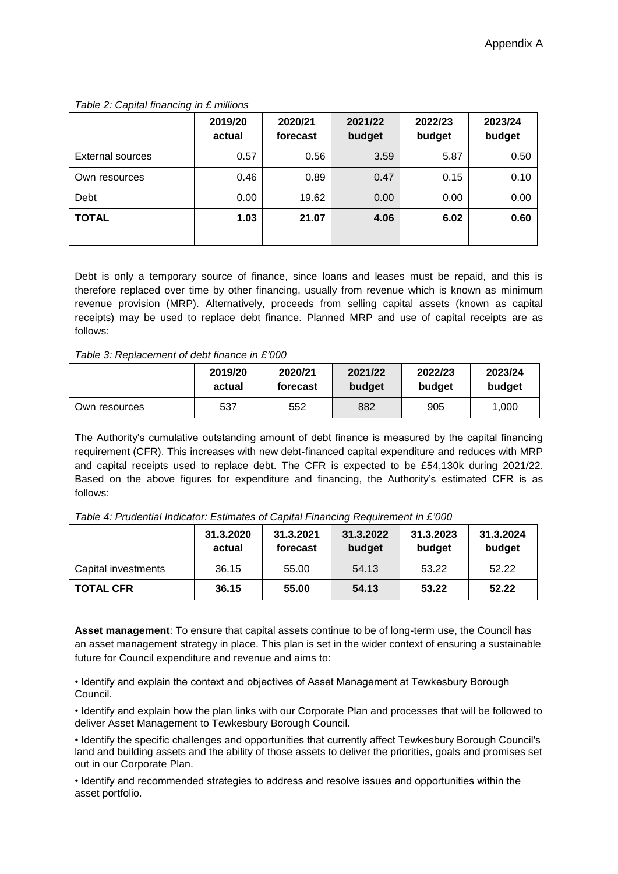|                  | 2019/20<br>actual | 2020/21<br>forecast | 2021/22<br>budget | 2022/23<br>budget | 2023/24<br>budget |
|------------------|-------------------|---------------------|-------------------|-------------------|-------------------|
| External sources | 0.57              | 0.56                | 3.59              | 5.87              | 0.50              |
| Own resources    | 0.46              | 0.89                | 0.47              | 0.15              | 0.10              |
| Debt             | 0.00              | 19.62               | 0.00              | 0.00              | 0.00              |
| <b>TOTAL</b>     | 1.03              | 21.07               | 4.06              | 6.02              | 0.60              |

#### *Table 2: Capital financing in £ millions*

Debt is only a temporary source of finance, since loans and leases must be repaid, and this is therefore replaced over time by other financing, usually from revenue which is known as minimum revenue provision (MRP). Alternatively, proceeds from selling capital assets (known as capital receipts) may be used to replace debt finance. Planned MRP and use of capital receipts are as follows:

#### *Table 3: Replacement of debt finance in £'000*

|               | 2019/20 | 2020/21  | 2021/22 | 2022/23 | 2023/24 |
|---------------|---------|----------|---------|---------|---------|
|               | actual  | forecast | budget  | budget  | budget  |
| Own resources | 537     | 552      | 882     | 905     | 1,000   |

The Authority's cumulative outstanding amount of debt finance is measured by the capital financing requirement (CFR). This increases with new debt-financed capital expenditure and reduces with MRP and capital receipts used to replace debt. The CFR is expected to be £54,130k during 2021/22. Based on the above figures for expenditure and financing, the Authority's estimated CFR is as follows:

| Table 4: Prudential Indicator: Estimates of Capital Financing Requirement in £'000 |  |  |
|------------------------------------------------------------------------------------|--|--|
|                                                                                    |  |  |

|                     | 31.3.2020<br>actual | 31.3.2021<br>forecast | 31.3.2022<br>budget | 31.3.2023<br>budget | 31.3.2024<br>budget |
|---------------------|---------------------|-----------------------|---------------------|---------------------|---------------------|
| Capital investments | 36.15               | 55.00                 | 54.13               | 53.22               | 52.22               |
| <b>TOTAL CFR</b>    | 36.15               | 55.00                 | 54.13               | 53.22               | 52.22               |

**Asset management**: To ensure that capital assets continue to be of long-term use, the Council has an asset management strategy in place. This plan is set in the wider context of ensuring a sustainable future for Council expenditure and revenue and aims to:

• Identify and explain the context and objectives of Asset Management at Tewkesbury Borough Council.

• Identify and explain how the plan links with our Corporate Plan and processes that will be followed to deliver Asset Management to Tewkesbury Borough Council.

• Identify the specific challenges and opportunities that currently affect Tewkesbury Borough Council's land and building assets and the ability of those assets to deliver the priorities, goals and promises set out in our Corporate Plan.

• Identify and recommended strategies to address and resolve issues and opportunities within the asset portfolio.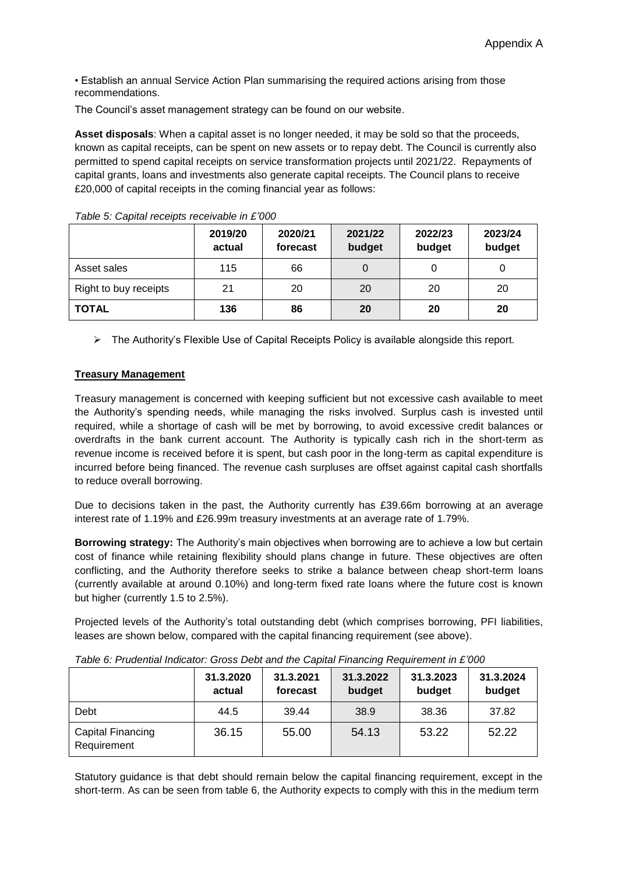• Establish an annual Service Action Plan summarising the required actions arising from those recommendations.

The Council's asset management strategy can be found on our website.

**Asset disposals**: When a capital asset is no longer needed, it may be sold so that the proceeds, known as capital receipts, can be spent on new assets or to repay debt. The Council is currently also permitted to spend capital receipts on service transformation projects until 2021/22. Repayments of capital grants, loans and investments also generate capital receipts. The Council plans to receive £20,000 of capital receipts in the coming financial year as follows:

|                       | 2019/20<br>actual | 2020/21<br>forecast | 2021/22<br>budget | 2022/23<br>budget | 2023/24<br>budget |
|-----------------------|-------------------|---------------------|-------------------|-------------------|-------------------|
| Asset sales           | 115               | 66                  |                   | 0                 |                   |
| Right to buy receipts | 21                | 20                  | 20                | 20                | 20                |
| <b>TOTAL</b>          | 136               | 86                  | 20                | 20                | 20                |

*Table 5: Capital receipts receivable in £'000*

 $\triangleright$  The Authority's Flexible Use of Capital Receipts Policy is available alongside this report.

### **Treasury Management**

Treasury management is concerned with keeping sufficient but not excessive cash available to meet the Authority's spending needs, while managing the risks involved. Surplus cash is invested until required, while a shortage of cash will be met by borrowing, to avoid excessive credit balances or overdrafts in the bank current account. The Authority is typically cash rich in the short-term as revenue income is received before it is spent, but cash poor in the long-term as capital expenditure is incurred before being financed. The revenue cash surpluses are offset against capital cash shortfalls to reduce overall borrowing.

Due to decisions taken in the past, the Authority currently has £39.66m borrowing at an average interest rate of 1.19% and £26.99m treasury investments at an average rate of 1.79%.

**Borrowing strategy:** The Authority's main objectives when borrowing are to achieve a low but certain cost of finance while retaining flexibility should plans change in future. These objectives are often conflicting, and the Authority therefore seeks to strike a balance between cheap short-term loans (currently available at around 0.10%) and long-term fixed rate loans where the future cost is known but higher (currently 1.5 to 2.5%).

Projected levels of the Authority's total outstanding debt (which comprises borrowing, PFI liabilities, leases are shown below, compared with the capital financing requirement (see above).

|                                  | 31.3.2020<br>actual | 31.3.2021<br>forecast | 31.3.2022<br>budget | 31.3.2023<br>budget | 31.3.2024<br>budget |
|----------------------------------|---------------------|-----------------------|---------------------|---------------------|---------------------|
| Debt                             | 44.5                | 39.44                 | 38.9                | 38.36               | 37.82               |
| Capital Financing<br>Requirement | 36.15               | 55.00                 | 54.13               | 53.22               | 52.22               |

*Table 6: Prudential Indicator: Gross Debt and the Capital Financing Requirement in £'000*

Statutory guidance is that debt should remain below the capital financing requirement, except in the short-term. As can be seen from table 6, the Authority expects to comply with this in the medium term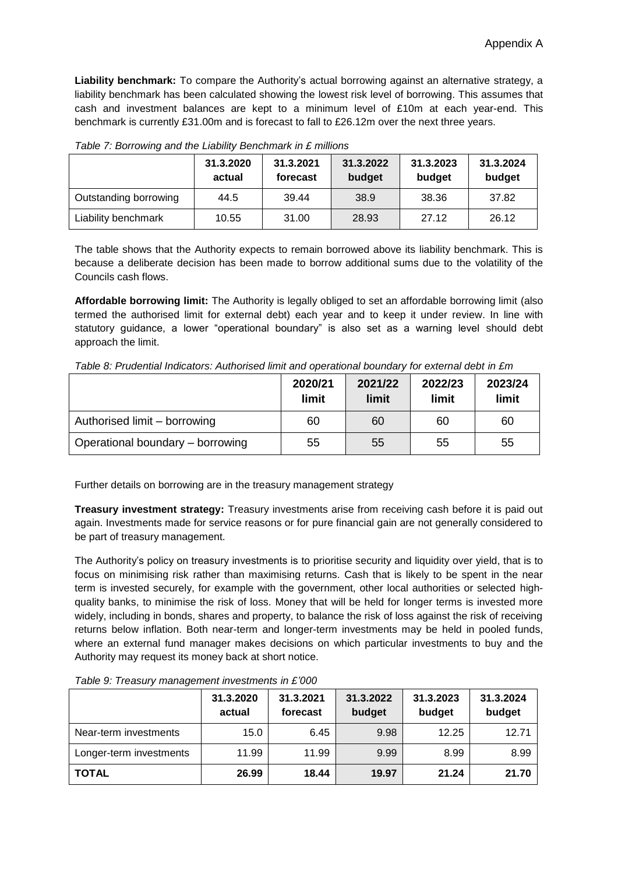**Liability benchmark:** To compare the Authority's actual borrowing against an alternative strategy, a liability benchmark has been calculated showing the lowest risk level of borrowing. This assumes that cash and investment balances are kept to a minimum level of £10m at each year-end. This benchmark is currently £31.00m and is forecast to fall to £26.12m over the next three years.

| . where $\sim$ , $\sim$ , $\sim$ , $\sim$ , $\sim$ , $\sim$ , $\sim$ , $\sim$ , $\sim$ , $\sim$ , $\sim$ , $\sim$ , $\sim$ , $\sim$ , $\sim$ , $\sim$ |                     |                       |                     |                     |                     |  |  |  |  |
|-------------------------------------------------------------------------------------------------------------------------------------------------------|---------------------|-----------------------|---------------------|---------------------|---------------------|--|--|--|--|
|                                                                                                                                                       | 31.3.2020<br>actual | 31.3.2021<br>forecast | 31.3.2022<br>budget | 31.3.2023<br>budget | 31.3.2024<br>budget |  |  |  |  |
| Outstanding borrowing                                                                                                                                 | 44.5                | 39.44                 | 38.9                | 38.36               | 37.82               |  |  |  |  |
| Liability benchmark                                                                                                                                   | 10.55               | 31.00                 | 28.93               | 27.12               | 26.12               |  |  |  |  |

*Table 7: Borrowing and the Liability Benchmark in £ millions*

The table shows that the Authority expects to remain borrowed above its liability benchmark. This is because a deliberate decision has been made to borrow additional sums due to the volatility of the Councils cash flows.

**Affordable borrowing limit:** The Authority is legally obliged to set an affordable borrowing limit (also termed the authorised limit for external debt) each year and to keep it under review. In line with statutory guidance, a lower "operational boundary" is also set as a warning level should debt approach the limit.

| Table 8: Prudential Indicators: Authorised limit and operational boundary for external debt in £m |  |  |  |  |  |
|---------------------------------------------------------------------------------------------------|--|--|--|--|--|
|                                                                                                   |  |  |  |  |  |

|                                  | 2020/21<br>limit | 2021/22<br>limit | 2022/23<br>limit | 2023/24<br>limit |
|----------------------------------|------------------|------------------|------------------|------------------|
| Authorised limit – borrowing     | 60               | 60               | 60               | 60               |
| Operational boundary – borrowing | 55               | 55               | 55               | 55               |

Further details on borrowing are in the treasury management strategy

**Treasury investment strategy:** Treasury investments arise from receiving cash before it is paid out again. Investments made for service reasons or for pure financial gain are not generally considered to be part of treasury management.

The Authority's policy on treasury investments is to prioritise security and liquidity over yield, that is to focus on minimising risk rather than maximising returns. Cash that is likely to be spent in the near term is invested securely, for example with the government, other local authorities or selected highquality banks, to minimise the risk of loss. Money that will be held for longer terms is invested more widely, including in bonds, shares and property, to balance the risk of loss against the risk of receiving returns below inflation. Both near-term and longer-term investments may be held in pooled funds, where an external fund manager makes decisions on which particular investments to buy and the Authority may request its money back at short notice.

|                         | 31.3.2020<br>actual | 31.3.2021<br>forecast | 31.3.2022<br>budget | 31.3.2023<br>budget | 31.3.2024<br>budget |
|-------------------------|---------------------|-----------------------|---------------------|---------------------|---------------------|
| Near-term investments   | 15.0                | 6.45                  | 9.98                | 12.25               | 12.71               |
| Longer-term investments | 11.99               | 11.99                 | 9.99                | 8.99                | 8.99                |
| <b>TOTAL</b>            | 26.99               | 18.44                 | 19.97               | 21.24               | 21.70               |

*Table 9: Treasury management investments in £'000*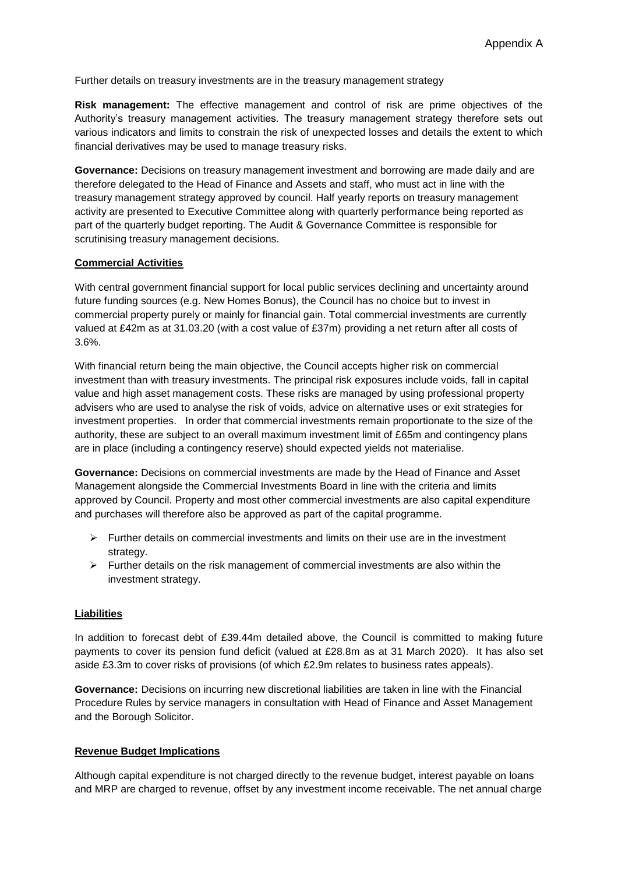Further details on treasury investments are in the treasury management strategy

**Risk management:** The effective management and control of risk are prime objectives of the Authority's treasury management activities. The treasury management strategy therefore sets out various indicators and limits to constrain the risk of unexpected losses and details the extent to which financial derivatives may be used to manage treasury risks.

**Governance:** Decisions on treasury management investment and borrowing are made daily and are therefore delegated to the Head of Finance and Assets and staff, who must act in line with the treasury management strategy approved by council. Half yearly reports on treasury management activity are presented to Executive Committee along with quarterly performance being reported as part of the quarterly budget reporting. The Audit & Governance Committee is responsible for scrutinising treasury management decisions.

# **Commercial Activities**

With central government financial support for local public services declining and uncertainty around future funding sources (e.g. New Homes Bonus), the Council has no choice but to invest in commercial property purely or mainly for financial gain. Total commercial investments are currently valued at £42m as at 31.03.20 (with a cost value of £37m) providing a net return after all costs of 3.6%.

With financial return being the main objective, the Council accepts higher risk on commercial investment than with treasury investments. The principal risk exposures include voids, fall in capital value and high asset management costs. These risks are managed by using professional property advisers who are used to analyse the risk of voids, advice on alternative uses or exit strategies for investment properties. In order that commercial investments remain proportionate to the size of the authority, these are subject to an overall maximum investment limit of £65m and contingency plans are in place (including a contingency reserve) should expected yields not materialise.

**Governance:** Decisions on commercial investments are made by the Head of Finance and Asset Management alongside the Commercial Investments Board in line with the criteria and limits approved by Council. Property and most other commercial investments are also capital expenditure and purchases will therefore also be approved as part of the capital programme.

- $\triangleright$  Further details on commercial investments and limits on their use are in the investment strategy.
- $\triangleright$  Further details on the risk management of commercial investments are also within the investment strategy.

# **Liabilities**

In addition to forecast debt of £39.44m detailed above, the Council is committed to making future payments to cover its pension fund deficit (valued at £28.8m as at 31 March 2020). It has also set aside £3.3m to cover risks of provisions (of which £2.9m relates to business rates appeals).

**Governance:** Decisions on incurring new discretional liabilities are taken in line with the Financial Procedure Rules by service managers in consultation with Head of Finance and Asset Management and the Borough Solicitor.

#### **Revenue Budget Implications**

Although capital expenditure is not charged directly to the revenue budget, interest payable on loans and MRP are charged to revenue, offset by any investment income receivable. The net annual charge